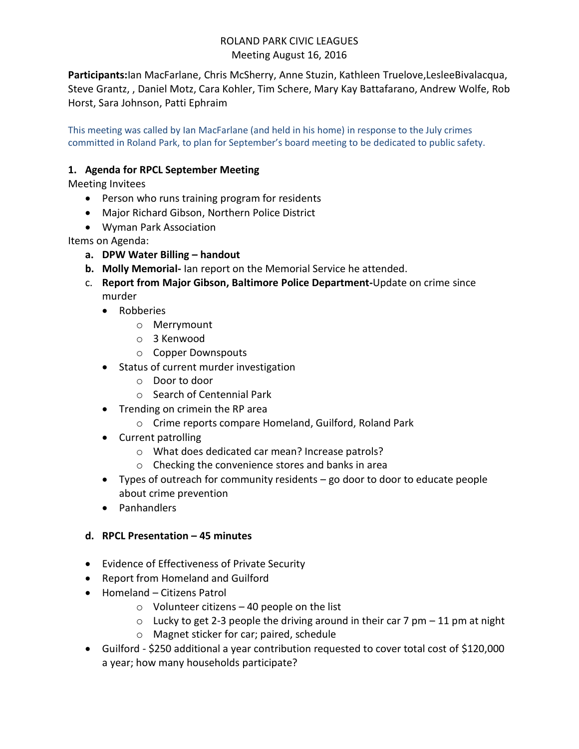# ROLAND PARK CIVIC LEAGUES Meeting August 16, 2016

**Participants:**Ian MacFarlane, Chris McSherry, Anne Stuzin, Kathleen Truelove,LesleeBivalacqua, Steve Grantz, , Daniel Motz, Cara Kohler, Tim Schere, Mary Kay Battafarano, Andrew Wolfe, Rob Horst, Sara Johnson, Patti Ephraim

This meeting was called by Ian MacFarlane (and held in his home) in response to the July crimes committed in Roland Park, to plan for September's board meeting to be dedicated to public safety.

## **1. Agenda for RPCL September Meeting**

Meeting Invitees

- Person who runs training program for residents
- Major Richard Gibson, Northern Police District
- Wyman Park Association

Items on Agenda:

- **a. DPW Water Billing – handout**
- **b. Molly Memorial-** Ian report on the Memorial Service he attended.
- c. **Report from Major Gibson, Baltimore Police Department-**Update on crime since murder
	- Robberies
		- o Merrymount
		- o 3 Kenwood
		- o Copper Downspouts
	- Status of current murder investigation
		- o Door to door
		- o Search of Centennial Park
	- Trending on crimein the RP area
		- o Crime reports compare Homeland, Guilford, Roland Park
	- Current patrolling
		- o What does dedicated car mean? Increase patrols?
		- o Checking the convenience stores and banks in area
	- Types of outreach for community residents go door to door to educate people about crime prevention
	- Panhandlers

### **d. RPCL Presentation – 45 minutes**

- Evidence of Effectiveness of Private Security
- Report from Homeland and Guilford
- Homeland Citizens Patrol
	- $\circ$  Volunteer citizens 40 people on the list
	- $\circ$  Lucky to get 2-3 people the driving around in their car 7 pm 11 pm at night
	- o Magnet sticker for car; paired, schedule
- Guilford \$250 additional a year contribution requested to cover total cost of \$120,000 a year; how many households participate?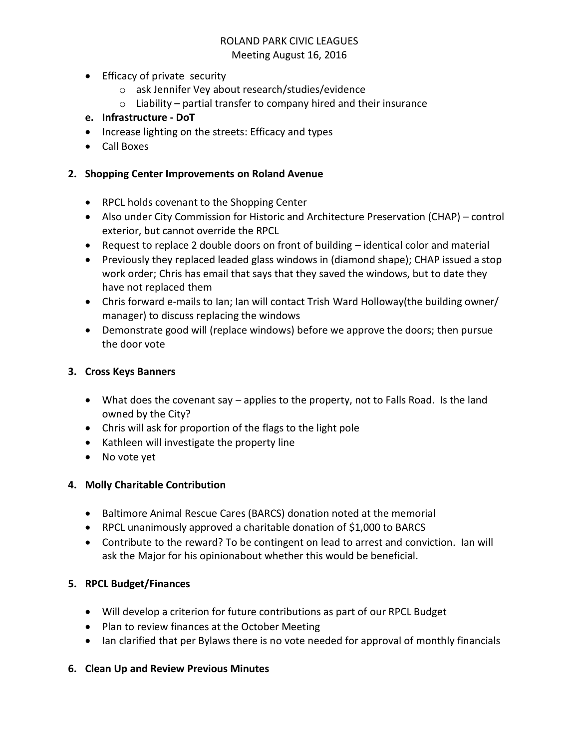# ROLAND PARK CIVIC LEAGUES

#### Meeting August 16, 2016

- Efficacy of private security
	- o ask Jennifer Vey about research/studies/evidence
	- $\circ$  Liability partial transfer to company hired and their insurance

## **e. Infrastructure - DoT**

- Increase lighting on the streets: Efficacy and types
- Call Boxes

#### **2. Shopping Center Improvements on Roland Avenue**

- RPCL holds covenant to the Shopping Center
- Also under City Commission for Historic and Architecture Preservation (CHAP) control exterior, but cannot override the RPCL
- Request to replace 2 double doors on front of building identical color and material
- Previously they replaced leaded glass windows in (diamond shape); CHAP issued a stop work order; Chris has email that says that they saved the windows, but to date they have not replaced them
- Chris forward e-mails to Ian; Ian will contact Trish Ward Holloway(the building owner/ manager) to discuss replacing the windows
- Demonstrate good will (replace windows) before we approve the doors; then pursue the door vote

### **3. Cross Keys Banners**

- What does the covenant say applies to the property, not to Falls Road. Is the land owned by the City?
- Chris will ask for proportion of the flags to the light pole
- Kathleen will investigate the property line
- No vote yet

### **4. Molly Charitable Contribution**

- Baltimore Animal Rescue Cares (BARCS) donation noted at the memorial
- RPCL unanimously approved a charitable donation of \$1,000 to BARCS
- Contribute to the reward? To be contingent on lead to arrest and conviction. Ian will ask the Major for his opinionabout whether this would be beneficial.

### **5. RPCL Budget/Finances**

- Will develop a criterion for future contributions as part of our RPCL Budget
- Plan to review finances at the October Meeting
- Ian clarified that per Bylaws there is no vote needed for approval of monthly financials

### **6. Clean Up and Review Previous Minutes**